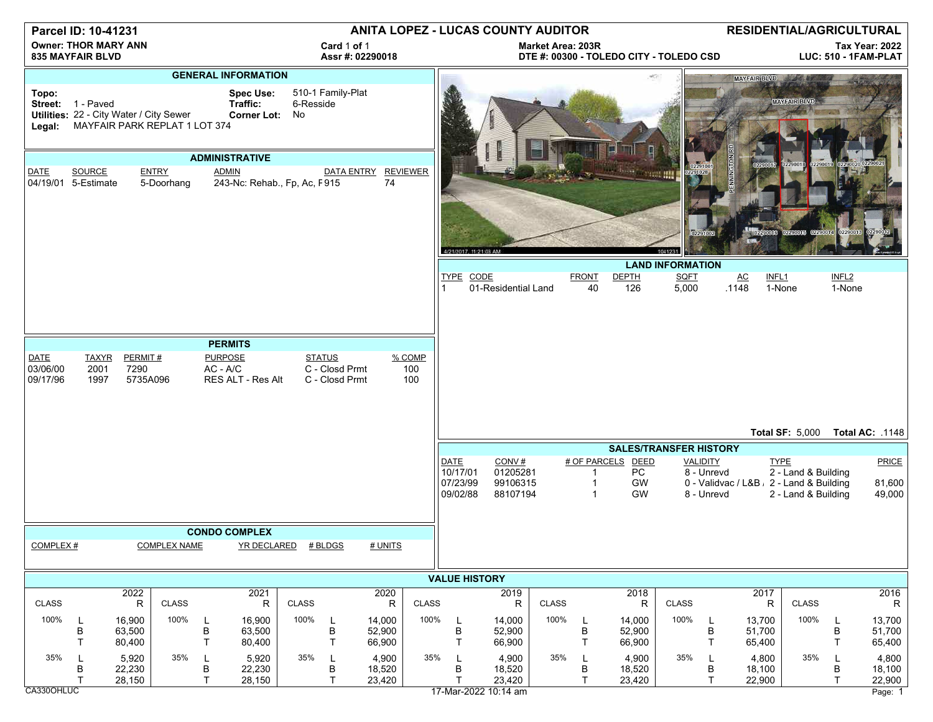| Parcel ID: 10-41231                                                                                                                                                                                                                |                                                                                                                                                                                                                 |                            |                            |                   | ANITA LOPEZ - LUCAS COUNTY AUDITOR           |                     |                       |                            |                                           |                                                 |                                                                     |                   |                          |                                                                    | RESIDENTIAL/AGRICULTURAL          |                                             |                                                         |                                            |                             |                                      |
|------------------------------------------------------------------------------------------------------------------------------------------------------------------------------------------------------------------------------------|-----------------------------------------------------------------------------------------------------------------------------------------------------------------------------------------------------------------|----------------------------|----------------------------|-------------------|----------------------------------------------|---------------------|-----------------------|----------------------------|-------------------------------------------|-------------------------------------------------|---------------------------------------------------------------------|-------------------|--------------------------|--------------------------------------------------------------------|-----------------------------------|---------------------------------------------|---------------------------------------------------------|--------------------------------------------|-----------------------------|--------------------------------------|
| <b>Owner: THOR MARY ANN</b><br><b>835 MAYFAIR BLVD</b>                                                                                                                                                                             |                                                                                                                                                                                                                 |                            |                            |                   | Card 1 of 1<br>Assr #: 02290018              |                     |                       |                            |                                           |                                                 | <b>Market Area: 203R</b><br>DTE #: 00300 - TOLEDO CITY - TOLEDO CSD |                   |                          |                                                                    |                                   |                                             | <b>Tax Year: 2022</b><br>LUC: 510 - 1FAM-PLAT           |                                            |                             |                                      |
| <b>GENERAL INFORMATION</b><br>510-1 Family-Plat<br><b>Spec Use:</b><br>Topo:<br>Traffic:<br>Street: 1 - Paved<br>6-Resside<br>Utilities: 22 - City Water / City Sewer<br>Corner Lot: No<br>MAYFAIR PARK REPLAT 1 LOT 374<br>Legal: |                                                                                                                                                                                                                 |                            |                            |                   |                                              |                     |                       |                            |                                           |                                                 |                                                                     |                   |                          |                                                                    |                                   | <b>MAYFAIR BLVD</b>                         | <b>MAYFAIR BLVD</b>                                     |                                            |                             |                                      |
| <b>ADMINISTRATIVE</b>                                                                                                                                                                                                              |                                                                                                                                                                                                                 |                            |                            |                   |                                              |                     |                       |                            |                                           |                                                 |                                                                     |                   |                          |                                                                    |                                   |                                             |                                                         |                                            |                             |                                      |
| DATE<br>04/19/01 5-Estimate                                                                                                                                                                                                        | SOURCE                                                                                                                                                                                                          |                            | <b>ENTRY</b><br>5-Doorhang |                   | <b>ADMIN</b><br>243-Nc: Rehab., Fp, Ac, F915 |                     | <b>DATA ENTRY</b>     | 74                         | <b>REVIEWER</b>                           |                                                 |                                                                     |                   |                          |                                                                    | <b>WEBSTERN</b>                   | 02291028<br>02291002                        |                                                         | 22900                                      | 02290013                    |                                      |
|                                                                                                                                                                                                                                    |                                                                                                                                                                                                                 |                            |                            |                   |                                              |                     |                       |                            |                                           |                                                 | 4/21/2017, 11:21:03 AM                                              |                   |                          |                                                                    | 104123<br><b>LAND INFORMATION</b> |                                             |                                                         |                                            |                             |                                      |
|                                                                                                                                                                                                                                    |                                                                                                                                                                                                                 |                            |                            |                   |                                              |                     |                       |                            |                                           | TYPE CODE                                       | 01-Residential Land                                                 |                   | <b>FRONT</b>             | <b>DEPTH</b><br>40<br>126                                          | <b>SQFT</b><br>5,000              |                                             | AC<br>INFL <sub>1</sub><br>.1148                        | 1-None                                     | INFL <sub>2</sub><br>1-None |                                      |
|                                                                                                                                                                                                                                    |                                                                                                                                                                                                                 |                            |                            |                   |                                              |                     |                       |                            |                                           |                                                 |                                                                     |                   |                          |                                                                    |                                   |                                             |                                                         |                                            |                             |                                      |
| <b>DATE</b><br>03/06/00<br>09/17/96                                                                                                                                                                                                | <b>PERMITS</b><br>PERMIT#<br><b>PURPOSE</b><br><b>STATUS</b><br>% COMP<br><b>TAXYR</b><br>7290<br>$AC - A/C$<br>C - Closd Prmt<br>2001<br>100<br>5735A096<br>C - Closd Prmt<br>100<br>1997<br>RES ALT - Res Alt |                            |                            |                   |                                              |                     |                       |                            |                                           |                                                 |                                                                     |                   |                          |                                                                    |                                   |                                             |                                                         |                                            |                             |                                      |
|                                                                                                                                                                                                                                    |                                                                                                                                                                                                                 |                            |                            |                   |                                              |                     |                       |                            | Total AC: .1148<br><b>Total SF: 5,000</b> |                                                 |                                                                     |                   |                          |                                                                    |                                   |                                             |                                                         |                                            |                             |                                      |
|                                                                                                                                                                                                                                    |                                                                                                                                                                                                                 |                            |                            |                   |                                              |                     |                       |                            |                                           |                                                 |                                                                     |                   |                          |                                                                    | <b>SALES/TRANSFER HISTORY</b>     |                                             |                                                         |                                            |                             |                                      |
|                                                                                                                                                                                                                                    |                                                                                                                                                                                                                 |                            |                            |                   |                                              |                     |                       |                            |                                           | <b>DATE</b><br>10/17/01<br>07/23/99<br>09/02/88 | CONV#<br>01205281<br>99106315<br>88107194                           |                   |                          | # OF PARCELS<br><b>DEED</b><br>PC<br>GW<br>1<br>GW<br>$\mathbf{1}$ |                                   | <b>VALIDITY</b><br>8 - Unrevd<br>8 - Unrevd | <b>TYPE</b><br>0 - Validvac / L&B , 2 - Land & Building | 2 - Land & Building<br>2 - Land & Building |                             | PRICE<br>81,600<br>49,000            |
|                                                                                                                                                                                                                                    |                                                                                                                                                                                                                 |                            |                            |                   | <b>CONDO COMPLEX</b>                         |                     |                       |                            |                                           |                                                 |                                                                     |                   |                          |                                                                    |                                   |                                             |                                                         |                                            |                             |                                      |
| COMPLEX#                                                                                                                                                                                                                           |                                                                                                                                                                                                                 |                            | <b>COMPLEX NAME</b>        |                   |                                              | YR DECLARED # BLDGS |                       | # UNITS                    |                                           |                                                 |                                                                     |                   |                          |                                                                    |                                   |                                             |                                                         |                                            |                             |                                      |
| <b>VALUE HISTORY</b>                                                                                                                                                                                                               |                                                                                                                                                                                                                 |                            |                            |                   |                                              |                     |                       |                            |                                           |                                                 |                                                                     |                   |                          |                                                                    |                                   |                                             |                                                         |                                            |                             |                                      |
| <b>CLASS</b>                                                                                                                                                                                                                       |                                                                                                                                                                                                                 | 2022<br>R                  | <b>CLASS</b>               |                   | 2021<br>$\mathsf R$                          | <b>CLASS</b>        |                       | 2020<br>R                  | <b>CLASS</b>                              |                                                 | 2019                                                                | <b>CLASS</b><br>R |                          | 2018<br>R                                                          | <b>CLASS</b>                      |                                             | 2017<br>$\mathsf R$                                     | <b>CLASS</b>                               |                             | 2016<br>$\mathsf R$                  |
| 100%                                                                                                                                                                                                                               | L<br>B<br>т                                                                                                                                                                                                     | 16,900<br>63,500<br>80,400 | 100%                       | B<br>$\mathsf{T}$ | 16,900<br>63,500<br>80,400                   | 100%                | L<br>B<br>$\mathsf T$ | 14,000<br>52,900<br>66,900 | 100%                                      | L<br>B<br>T                                     | 14,000<br>52,900<br>66,900                                          |                   | 100%<br>B<br>$\top$      | 14,000<br>52,900<br>66,900                                         | 100%                              | L<br>В<br>T                                 | 13,700<br>51,700<br>65,400                              | 100%                                       | L<br>B<br>Τ                 | 13,700<br>51,700<br>65,400           |
| 35%<br>CA330OHLUC                                                                                                                                                                                                                  | L<br>В<br>т                                                                                                                                                                                                     | 5,920<br>22,230<br>28,150  | 35%                        | В<br>T            | 5,920<br>22,230<br>28,150                    | 35%                 | L<br>В<br>T.          | 4,900<br>18,520<br>23,420  | 35%                                       | L<br>B<br>т                                     | 4,900<br>18,520<br>23,420<br>17-Mar-2022 10:14 am                   |                   | 35%<br>В<br>$\mathsf{T}$ | 4,900<br>18,520<br>23,420                                          | 35%                               | L<br>В<br>$\mathsf{T}$                      | 4,800<br>18,100<br>22,900                               | 35%                                        | в<br>T                      | 4,800<br>18,100<br>22,900<br>Page: 1 |

m Page: 1